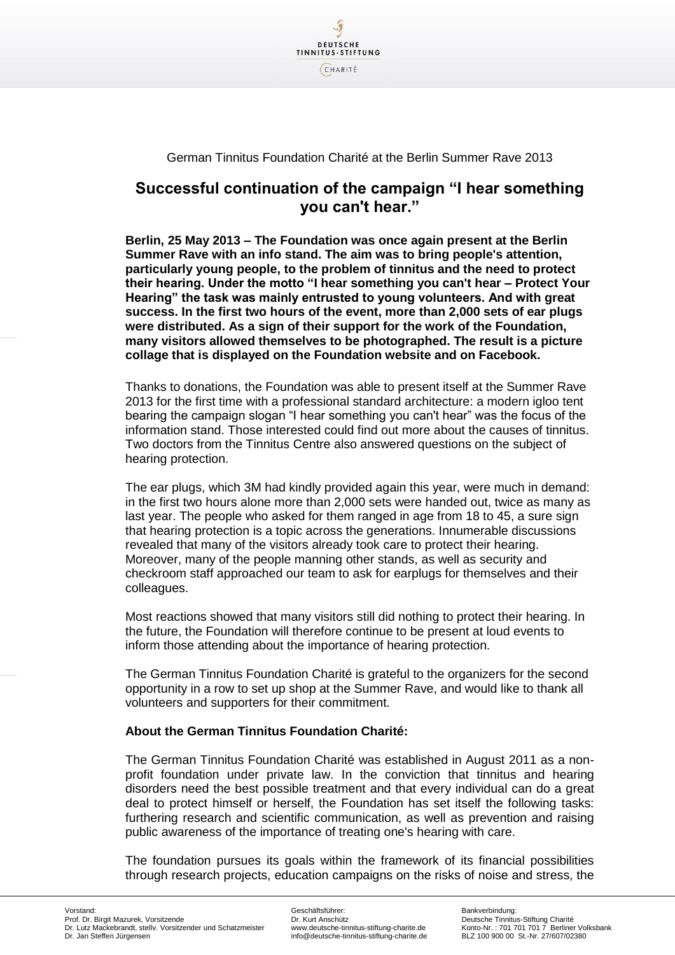

## German Tinnitus Foundation Charité at the Berlin Summer Rave 2013

## **Successful continuation of the campaign "I hear something you can't hear."**

**Berlin, 25 May 2013 – The Foundation was once again present at the Berlin Summer Rave with an info stand. The aim was to bring people's attention, particularly young people, to the problem of tinnitus and the need to protect their hearing. Under the motto "I hear something you can't hear – Protect Your Hearing" the task was mainly entrusted to young volunteers. And with great success. In the first two hours of the event, more than 2,000 sets of ear plugs were distributed. As a sign of their support for the work of the Foundation, many visitors allowed themselves to be photographed. The result is a picture collage that is displayed on the Foundation website and on Facebook.**

Thanks to donations, the Foundation was able to present itself at the Summer Rave 2013 for the first time with a professional standard architecture: a modern igloo tent bearing the campaign slogan "I hear something you can't hear" was the focus of the information stand. Those interested could find out more about the causes of tinnitus. Two doctors from the Tinnitus Centre also answered questions on the subject of hearing protection.

The ear plugs, which 3M had kindly provided again this year, were much in demand: in the first two hours alone more than 2,000 sets were handed out, twice as many as last year. The people who asked for them ranged in age from 18 to 45, a sure sign that hearing protection is a topic across the generations. Innumerable discussions revealed that many of the visitors already took care to protect their hearing. Moreover, many of the people manning other stands, as well as security and checkroom staff approached our team to ask for earplugs for themselves and their colleagues.

Most reactions showed that many visitors still did nothing to protect their hearing. In the future, the Foundation will therefore continue to be present at loud events to inform those attending about the importance of hearing protection.

The German Tinnitus Foundation Charité is grateful to the organizers for the second opportunity in a row to set up shop at the Summer Rave, and would like to thank all volunteers and supporters for their commitment.

## **About the German Tinnitus Foundation Charité:**

The German Tinnitus Foundation Charité was established in August 2011 as a nonprofit foundation under private law. In the conviction that tinnitus and hearing disorders need the best possible treatment and that every individual can do a great deal to protect himself or herself, the Foundation has set itself the following tasks: furthering research and scientific communication, as well as prevention and raising public awareness of the importance of treating one's hearing with care.

The foundation pursues its goals within the framework of its financial possibilities through research projects, education campaigns on the risks of noise and stress, the